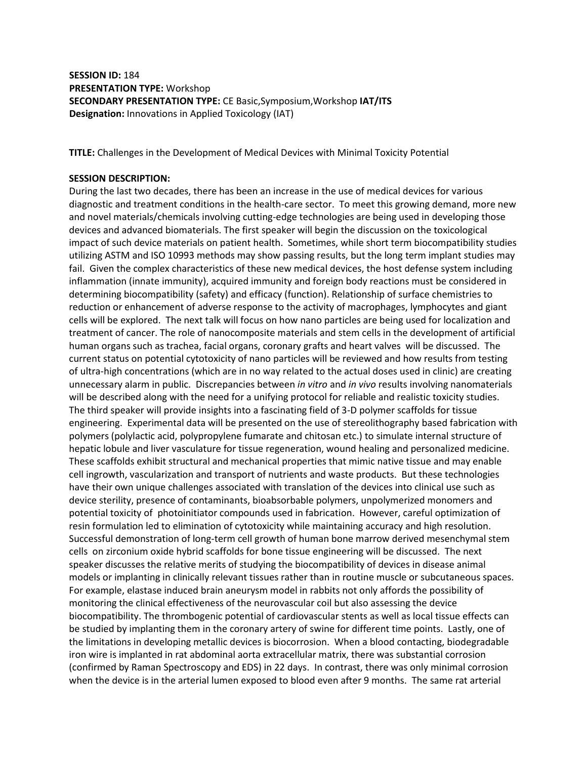# **SESSION ID:** 184 **PRESENTATION TYPE:** Workshop **SECONDARY PRESENTATION TYPE:** CE Basic,Symposium,Workshop **IAT/ITS Designation:** Innovations in Applied Toxicology (IAT)

**TITLE:** Challenges in the Development of Medical Devices with Minimal Toxicity Potential

## **SESSION DESCRIPTION:**

During the last two decades, there has been an increase in the use of medical devices for various diagnostic and treatment conditions in the health-care sector. To meet this growing demand, more new and novel materials/chemicals involving cutting-edge technologies are being used in developing those devices and advanced biomaterials. The first speaker will begin the discussion on the toxicological impact of such device materials on patient health. Sometimes, while short term biocompatibility studies utilizing ASTM and ISO 10993 methods may show passing results, but the long term implant studies may fail. Given the complex characteristics of these new medical devices, the host defense system including inflammation (innate immunity), acquired immunity and foreign body reactions must be considered in determining biocompatibility (safety) and efficacy (function). Relationship of surface chemistries to reduction or enhancement of adverse response to the activity of macrophages, lymphocytes and giant cells will be explored. The next talk will focus on how nano particles are being used for localization and treatment of cancer. The role of nanocomposite materials and stem cells in the development of artificial human organs such as trachea, facial organs, coronary grafts and heart valves will be discussed. The current status on potential cytotoxicity of nano particles will be reviewed and how results from testing of ultra-high concentrations (which are in no way related to the actual doses used in clinic) are creating unnecessary alarm in public. Discrepancies between *in vitro* and *in vivo* results involving nanomaterials will be described along with the need for a unifying protocol for reliable and realistic toxicity studies. The third speaker will provide insights into a fascinating field of 3-D polymer scaffolds for tissue engineering. Experimental data will be presented on the use of stereolithography based fabrication with polymers (polylactic acid, polypropylene fumarate and chitosan etc.) to simulate internal structure of hepatic lobule and liver vasculature for tissue regeneration, wound healing and personalized medicine. These scaffolds exhibit structural and mechanical properties that mimic native tissue and may enable cell ingrowth, vascularization and transport of nutrients and waste products. But these technologies have their own unique challenges associated with translation of the devices into clinical use such as device sterility, presence of contaminants, bioabsorbable polymers, unpolymerized monomers and potential toxicity of photoinitiator compounds used in fabrication. However, careful optimization of resin formulation led to elimination of cytotoxicity while maintaining accuracy and high resolution. Successful demonstration of long-term cell growth of human bone marrow derived mesenchymal stem cells on zirconium oxide hybrid scaffolds for bone tissue engineering will be discussed. The next speaker discusses the relative merits of studying the biocompatibility of devices in disease animal models or implanting in clinically relevant tissues rather than in routine muscle or subcutaneous spaces. For example, elastase induced brain aneurysm model in rabbits not only affords the possibility of monitoring the clinical effectiveness of the neurovascular coil but also assessing the device biocompatibility. The thrombogenic potential of cardiovascular stents as well as local tissue effects can be studied by implanting them in the coronary artery of swine for different time points. Lastly, one of the limitations in developing metallic devices is biocorrosion. When a blood contacting, biodegradable iron wire is implanted in rat abdominal aorta extracellular matrix, there was substantial corrosion (confirmed by Raman Spectroscopy and EDS) in 22 days. In contrast, there was only minimal corrosion when the device is in the arterial lumen exposed to blood even after 9 months. The same rat arterial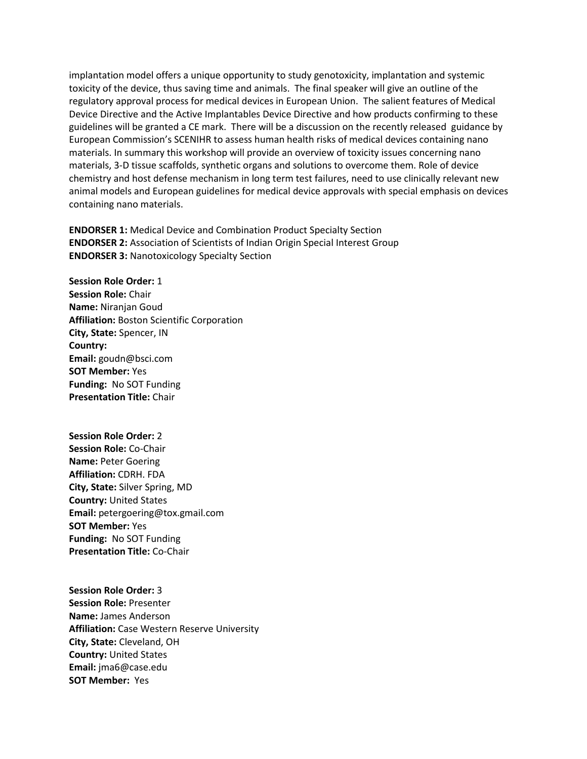implantation model offers a unique opportunity to study genotoxicity, implantation and systemic toxicity of the device, thus saving time and animals. The final speaker will give an outline of the regulatory approval process for medical devices in European Union. The salient features of Medical Device Directive and the Active Implantables Device Directive and how products confirming to these guidelines will be granted a CE mark. There will be a discussion on the recently released guidance by European Commission's SCENIHR to assess human health risks of medical devices containing nano materials. In summary this workshop will provide an overview of toxicity issues concerning nano materials, 3-D tissue scaffolds, synthetic organs and solutions to overcome them. Role of device chemistry and host defense mechanism in long term test failures, need to use clinically relevant new animal models and European guidelines for medical device approvals with special emphasis on devices containing nano materials.

**ENDORSER 1:** Medical Device and Combination Product Specialty Section **ENDORSER 2:** Association of Scientists of Indian Origin Special Interest Group **ENDORSER 3:** Nanotoxicology Specialty Section

**Session Role Order:** 1 **Session Role:** Chair **Name:** Niranjan Goud **Affiliation:** Boston Scientific Corporation **City, State:** Spencer, IN **Country: Email:** goudn@bsci.com **SOT Member:** Yes **Funding:** No SOT Funding **Presentation Title:** Chair

**Session Role Order:** 2 **Session Role:** Co-Chair **Name:** Peter Goering **Affiliation:** CDRH. FDA **City, State:** Silver Spring, MD **Country:** United States **Email:** petergoering@tox.gmail.com **SOT Member:** Yes **Funding:** No SOT Funding **Presentation Title:** Co-Chair

**Session Role Order:** 3 **Session Role:** Presenter **Name:** James Anderson **Affiliation:** Case Western Reserve University **City, State:** Cleveland, OH **Country:** United States **Email:** jma6@case.edu **SOT Member:** Yes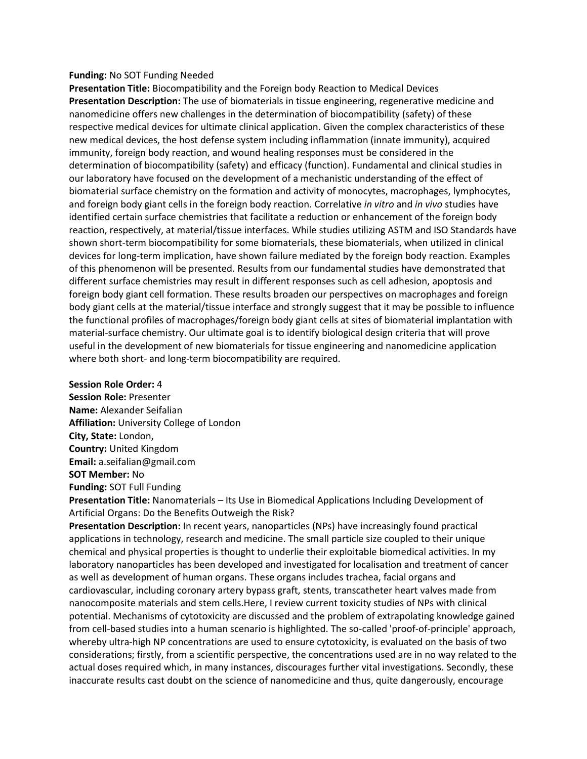#### **Funding:** No SOT Funding Needed

**Presentation Title:** Biocompatibility and the Foreign body Reaction to Medical Devices **Presentation Description:** The use of biomaterials in tissue engineering, regenerative medicine and nanomedicine offers new challenges in the determination of biocompatibility (safety) of these respective medical devices for ultimate clinical application. Given the complex characteristics of these new medical devices, the host defense system including inflammation (innate immunity), acquired immunity, foreign body reaction, and wound healing responses must be considered in the determination of biocompatibility (safety) and efficacy (function). Fundamental and clinical studies in our laboratory have focused on the development of a mechanistic understanding of the effect of biomaterial surface chemistry on the formation and activity of monocytes, macrophages, lymphocytes, and foreign body giant cells in the foreign body reaction. Correlative *in vitro* and *in vivo* studies have identified certain surface chemistries that facilitate a reduction or enhancement of the foreign body reaction, respectively, at material/tissue interfaces. While studies utilizing ASTM and ISO Standards have shown short-term biocompatibility for some biomaterials, these biomaterials, when utilized in clinical devices for long-term implication, have shown failure mediated by the foreign body reaction. Examples of this phenomenon will be presented. Results from our fundamental studies have demonstrated that different surface chemistries may result in different responses such as cell adhesion, apoptosis and foreign body giant cell formation. These results broaden our perspectives on macrophages and foreign body giant cells at the material/tissue interface and strongly suggest that it may be possible to influence the functional profiles of macrophages/foreign body giant cells at sites of biomaterial implantation with material-surface chemistry. Our ultimate goal is to identify biological design criteria that will prove useful in the development of new biomaterials for tissue engineering and nanomedicine application where both short- and long-term biocompatibility are required.

### **Session Role Order:** 4

**Session Role:** Presenter **Name:** Alexander Seifalian **Affiliation:** University College of London **City, State:** London, **Country:** United Kingdom **Email:** a.seifalian@gmail.com **SOT Member:** No

**Funding:** SOT Full Funding

**Presentation Title:** Nanomaterials – Its Use in Biomedical Applications Including Development of Artificial Organs: Do the Benefits Outweigh the Risk?

**Presentation Description:** In recent years, nanoparticles (NPs) have increasingly found practical applications in technology, research and medicine. The small particle size coupled to their unique chemical and physical properties is thought to underlie their exploitable biomedical activities. In my laboratory nanoparticles has been developed and investigated for localisation and treatment of cancer as well as development of human organs. These organs includes trachea, facial organs and cardiovascular, including coronary artery bypass graft, stents, transcatheter heart valves made from nanocomposite materials and stem cells.Here, I review current toxicity studies of NPs with clinical potential. Mechanisms of cytotoxicity are discussed and the problem of extrapolating knowledge gained from cell-based studies into a human scenario is highlighted. The so-called 'proof-of-principle' approach, whereby ultra-high NP concentrations are used to ensure cytotoxicity, is evaluated on the basis of two considerations; firstly, from a scientific perspective, the concentrations used are in no way related to the actual doses required which, in many instances, discourages further vital investigations. Secondly, these inaccurate results cast doubt on the science of nanomedicine and thus, quite dangerously, encourage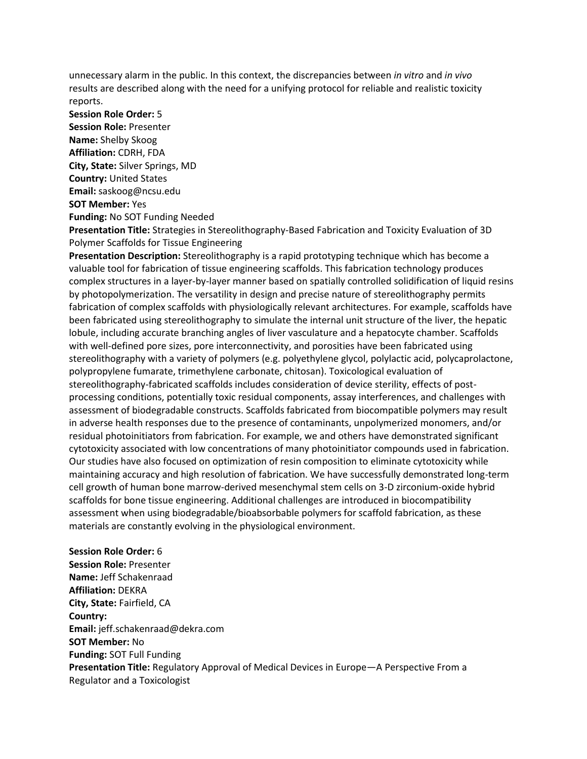unnecessary alarm in the public. In this context, the discrepancies between *in vitro* and *in vivo* results are described along with the need for a unifying protocol for reliable and realistic toxicity reports.

**Session Role Order:** 5 **Session Role:** Presenter **Name:** Shelby Skoog **Affiliation:** CDRH, FDA **City, State:** Silver Springs, MD **Country:** United States **Email:** saskoog@ncsu.edu **SOT Member:** Yes **Funding:** No SOT Funding Needed

**Presentation Title:** Strategies in Stereolithography-Based Fabrication and Toxicity Evaluation of 3D Polymer Scaffolds for Tissue Engineering

**Presentation Description:** Stereolithography is a rapid prototyping technique which has become a valuable tool for fabrication of tissue engineering scaffolds. This fabrication technology produces complex structures in a layer-by-layer manner based on spatially controlled solidification of liquid resins by photopolymerization. The versatility in design and precise nature of stereolithography permits fabrication of complex scaffolds with physiologically relevant architectures. For example, scaffolds have been fabricated using stereolithography to simulate the internal unit structure of the liver, the hepatic lobule, including accurate branching angles of liver vasculature and a hepatocyte chamber. Scaffolds with well-defined pore sizes, pore interconnectivity, and porosities have been fabricated using stereolithography with a variety of polymers (e.g. polyethylene glycol, polylactic acid, polycaprolactone, polypropylene fumarate, trimethylene carbonate, chitosan). Toxicological evaluation of stereolithography-fabricated scaffolds includes consideration of device sterility, effects of postprocessing conditions, potentially toxic residual components, assay interferences, and challenges with assessment of biodegradable constructs. Scaffolds fabricated from biocompatible polymers may result in adverse health responses due to the presence of contaminants, unpolymerized monomers, and/or residual photoinitiators from fabrication. For example, we and others have demonstrated significant cytotoxicity associated with low concentrations of many photoinitiator compounds used in fabrication. Our studies have also focused on optimization of resin composition to eliminate cytotoxicity while maintaining accuracy and high resolution of fabrication. We have successfully demonstrated long-term cell growth of human bone marrow-derived mesenchymal stem cells on 3-D zirconium-oxide hybrid scaffolds for bone tissue engineering. Additional challenges are introduced in biocompatibility assessment when using biodegradable/bioabsorbable polymers for scaffold fabrication, as these materials are constantly evolving in the physiological environment.

**Session Role Order:** 6 **Session Role:** Presenter **Name:** Jeff Schakenraad **Affiliation:** DEKRA **City, State:** Fairfield, CA **Country: Email:** jeff.schakenraad@dekra.com **SOT Member:** No

**Funding:** SOT Full Funding **Presentation Title:** Regulatory Approval of Medical Devices in Europe—A Perspective From a Regulator and a Toxicologist